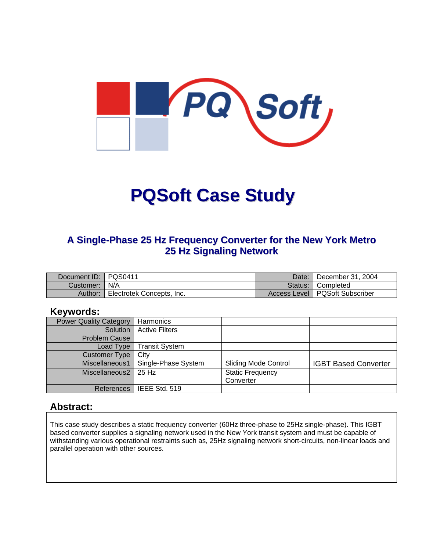

# **PQSoft Case Study**

#### **A Single-Phase 25 Hz Frequency Converter for the New York Metro 25 Hz Signaling Network**

| Document ID:   PQS0411 |                           | Date: I | $\vert$ December 31, 2004        |
|------------------------|---------------------------|---------|----------------------------------|
| Customer:   N/A        |                           |         | Status: Completed                |
| Author:                | Electrotek Concepts, Inc. |         | Access Level   PQSoft Subscriber |

#### **Keywords:**

| <b>Power Quality Category</b> | Harmonics             |                             |                             |
|-------------------------------|-----------------------|-----------------------------|-----------------------------|
| Solution                      | <b>Active Filters</b> |                             |                             |
| <b>Problem Cause</b>          |                       |                             |                             |
| Load Type                     | <b>Transit System</b> |                             |                             |
| <b>Customer Type</b>          | City                  |                             |                             |
| Miscellaneous1                | Single-Phase System   | <b>Sliding Mode Control</b> | <b>IGBT Based Converter</b> |
| Miscellaneous2                | l 25 Hz               | <b>Static Frequency</b>     |                             |
|                               |                       | Converter                   |                             |
| References                    | IEEE Std. 519         |                             |                             |

#### **Abstract:**

This case study describes a static frequency converter (60Hz three-phase to 25Hz single-phase). This IGBT based converter supplies a signaling network used in the New York transit system and must be capable of withstanding various operational restraints such as, 25Hz signaling network short-circuits, non-linear loads and parallel operation with other sources.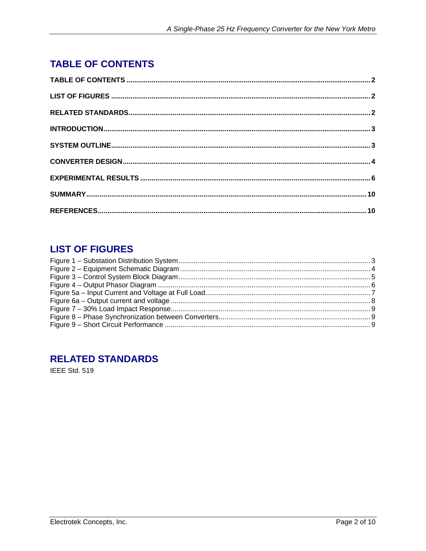# <span id="page-1-0"></span>**TABLE OF CONTENTS**

# **LIST OF FIGURES**

# **RELATED STANDARDS**

IEEE Std. 519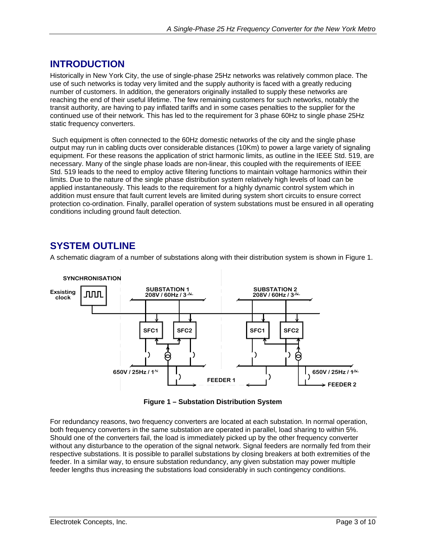## <span id="page-2-0"></span>**INTRODUCTION**

Historically in New York City, the use of single-phase 25Hz networks was relatively common place. The use of such networks is today very limited and the supply authority is faced with a greatly reducing number of customers. In addition, the generators originally installed to supply these networks are reaching the end of their useful lifetime. The few remaining customers for such networks, notably the transit authority, are having to pay inflated tariffs and in some cases penalties to the supplier for the continued use of their network. This has led to the requirement for 3 phase 60Hz to single phase 25Hz static frequency converters.

 Such equipment is often connected to the 60Hz domestic networks of the city and the single phase output may run in cabling ducts over considerable distances (10Km) to power a large variety of signaling equipment. For these reasons the application of strict harmonic limits, as outline in the IEEE Std. 519, are necessary. Many of the single phase loads are non-linear, this coupled with the requirements of IEEE Std. 519 leads to the need to employ active filtering functions to maintain voltage harmonics within their limits. Due to the nature of the single phase distribution system relatively high levels of load can be applied instantaneously. This leads to the requirement for a highly dynamic control system which in addition must ensure that fault current levels are limited during system short circuits to ensure correct protection co-ordination. Finally, parallel operation of system substations must be ensured in all operating conditions including ground fault detection.

# **SYSTEM OUTLINE**

A schematic diagram of a number of substations along with their distribution system is shown in Figure 1.



**Figure 1 – Substation Distribution System** 

For redundancy reasons, two frequency converters are located at each substation. In normal operation, both frequency converters in the same substation are operated in parallel, load sharing to within 5%. Should one of the converters fail, the load is immediately picked up by the other frequency converter without any disturbance to the operation of the signal network. Signal feeders are normally fed from their respective substations. It is possible to parallel substations by closing breakers at both extremities of the feeder. In a similar way, to ensure substation redundancy, any given substation may power multiple feeder lengths thus increasing the substations load considerably in such contingency conditions.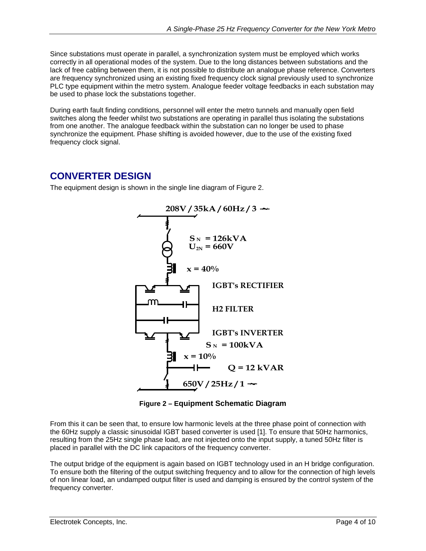<span id="page-3-0"></span>Since substations must operate in parallel, a synchronization system must be employed which works correctly in all operational modes of the system. Due to the long distances between substations and the lack of free cabling between them, it is not possible to distribute an analogue phase reference. Converters are frequency synchronized using an existing fixed frequency clock signal previously used to synchronize PLC type equipment within the metro system. Analogue feeder voltage feedbacks in each substation may be used to phase lock the substations together.

During earth fault finding conditions, personnel will enter the metro tunnels and manually open field switches along the feeder whilst two substations are operating in parallel thus isolating the substations from one another. The analogue feedback within the substation can no longer be used to phase synchronize the equipment. Phase shifting is avoided however, due to the use of the existing fixed frequency clock signal.

## **CONVERTER DESIGN**

The equipment design is shown in the single line diagram of Figure 2.



**Figure 2 – Equipment Schematic Diagram**

From this it can be seen that, to ensure low harmonic levels at the three phase point of connection with the 60Hz supply a classic sinusoidal IGBT based converter is used [1]. To ensure that 50Hz harmonics, resulting from the 25Hz single phase load, are not injected onto the input supply, a tuned 50Hz filter is placed in parallel with the DC link capacitors of the frequency converter.

The output bridge of the equipment is again based on IGBT technology used in an H bridge configuration. To ensure both the filtering of the output switching frequency and to allow for the connection of high levels of non linear load, an undamped output filter is used and damping is ensured by the control system of the frequency converter.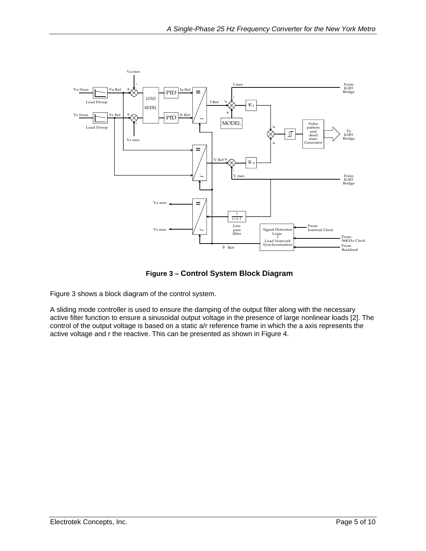<span id="page-4-0"></span>

**Figure 3 – Control System Block Diagram**

Figure 3 shows a block diagram of the control system.

A sliding mode controller is used to ensure the damping of the output filter along with the necessary active filter function to ensure a sinusoidal output voltage in the presence of large nonlinear loads [2]. The control of the output voltage is based on a static a/r reference frame in which the a axis represents the active voltage and r the reactive. This can be presented as shown in Figure 4.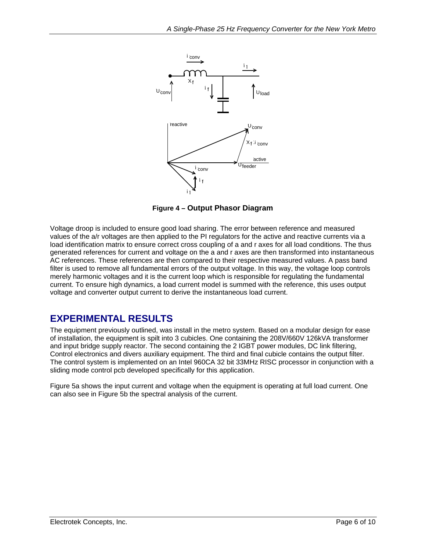<span id="page-5-0"></span>

**Figure 4 – Output Phasor Diagram**

Voltage droop is included to ensure good load sharing. The error between reference and measured values of the a/r voltages are then applied to the PI regulators for the active and reactive currents via a load identification matrix to ensure correct cross coupling of a and r axes for all load conditions. The thus generated references for current and voltage on the a and r axes are then transformed into instantaneous AC references. These references are then compared to their respective measured values. A pass band filter is used to remove all fundamental errors of the output voltage. In this way, the voltage loop controls merely harmonic voltages and it is the current loop which is responsible for regulating the fundamental current. To ensure high dynamics, a load current model is summed with the reference, this uses output voltage and converter output current to derive the instantaneous load current.

#### **EXPERIMENTAL RESULTS**

The equipment previously outlined, was install in the metro system. Based on a modular design for ease of installation, the equipment is spilt into 3 cubicles. One containing the 208V/660V 126kVA transformer and input bridge supply reactor. The second containing the 2 IGBT power modules, DC link filtering, Control electronics and divers auxiliary equipment. The third and final cubicle contains the output filter. The control system is implemented on an Intel 960CA 32 bit 33MHz RISC processor in conjunction with a sliding mode control pcb developed specifically for this application.

Figure 5a shows the input current and voltage when the equipment is operating at full load current. One can also see in Figure 5b the spectral analysis of the current.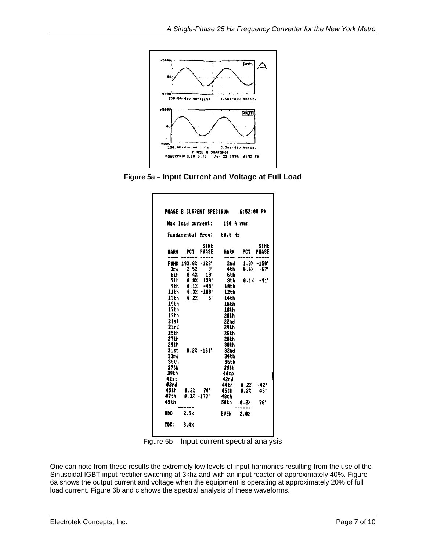<span id="page-6-0"></span>

**Figure 5a – Input Current and Voltage at Full Load** 

| HARM PCT |                   |                 | Fundamental freq: 68.0 Hz |             |               |
|----------|-------------------|-----------------|---------------------------|-------------|---------------|
|          |                   |                 |                           |             |               |
|          |                   | <b>SINE</b>     |                           |             | <b>SINE</b>   |
|          |                   | PHASE           | HARM                      | PCT         | <b>PHASE</b>  |
|          | FUND 193.8% -122' |                 | 2nd -                     |             | $1.9% - 150'$ |
| 3r d     |                   | $2.5%$ $3"$     | 4th -                     |             | $8.6% - 67"$  |
| 5th      | 0.4%              | 19 <sup>°</sup> | 6th                       |             |               |
| 7th      | 8.8%              | 139"            | 8th                       |             | $0.1% -91"$   |
| 9th      | 0.1%              | $-45"$          | 19th                      |             |               |
| 11th     |                   | $9.3% - 108'$   | 12th                      |             |               |
| 13th     | 8.2%              | -51             | 14th                      |             |               |
| 15th     |                   |                 | 16th                      |             |               |
| 17th     |                   |                 | 18th                      |             |               |
| 19th     |                   |                 | 20th                      |             |               |
| 21st     |                   |                 | 22nd                      |             |               |
| 23rd     |                   |                 | 24 th                     |             |               |
| 25th     |                   |                 | <b>26th</b>               |             |               |
| 27th     |                   |                 | 28th                      |             |               |
| 29th     |                   |                 | 38th                      |             |               |
| 31st     |                   | $0.2$ % $-161'$ | 32nd                      |             |               |
| 33rd     |                   |                 | 34th                      |             |               |
| 35th     |                   |                 | 36th                      |             |               |
| 37th     |                   |                 | 38th                      |             |               |
| 39th     |                   |                 | 48th                      |             |               |
| 41st     |                   |                 | 42nd                      |             |               |
| 43rd     |                   |                 | 44th                      | 8.2%        | -42'          |
| 45th     | 0.32 74'          |                 | 46th                      | 9.2%        | 46'           |
| 47th     | $0.3$ % -173'     |                 | 48th                      |             |               |
| 49th     |                   |                 | 50th                      | <b>8.2%</b> | 76'           |
| ODD      | 2.7%              |                 | EVEN                      | 2.8%        |               |

Figure 5b – Input current spectral analysis

One can note from these results the extremely low levels of input harmonics resulting from the use of the Sinusoidal IGBT input rectifier switching at 3khz and with an input reactor of approximately 40%. Figure 6a shows the output current and voltage when the equipment is operating at approximately 20% of full load current. Figure 6b and c shows the spectral analysis of these waveforms.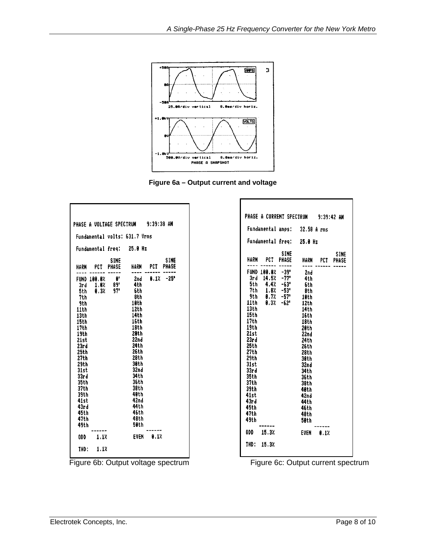<span id="page-7-0"></span>



Г

|                                                                                                                                                                                                          |                                | <b>PHASE A VOLTAGE SPECTRUM</b> |                                                                                                                                                                                                              | 9:39:38 AM   |                             |
|----------------------------------------------------------------------------------------------------------------------------------------------------------------------------------------------------------|--------------------------------|---------------------------------|--------------------------------------------------------------------------------------------------------------------------------------------------------------------------------------------------------------|--------------|-----------------------------|
|                                                                                                                                                                                                          |                                |                                 | Fundamental volts: 631.7 Vrms                                                                                                                                                                                |              |                             |
|                                                                                                                                                                                                          | Fundamental freq:              |                                 | 25.0 Hz                                                                                                                                                                                                      |              |                             |
| HARM                                                                                                                                                                                                     | PCT                            | SINE<br>PHASE                   | HARM                                                                                                                                                                                                         | PCT          | <b>SINE</b><br><b>PHASE</b> |
| FUND<br>3rd<br>5th<br>7th<br>9th<br>11th<br>13th<br>15th<br>17th<br>19th<br>21st<br>23rd<br>25th<br>27th<br>29th<br>31st<br>33r d<br>35th<br>37th<br>39th<br>41st<br>43rd<br>45th<br>47th<br>49th<br>ODD | 100.0%<br>1.07<br>0.37<br>1.12 | θ,<br>89'<br>97'                | 2nd<br>4th<br>6th<br>8th<br>10th<br>12th<br>14th<br>16th<br>18th<br>29th<br>22nd<br>24th<br>26 th<br>28th<br>38th<br>32nd<br>34 t h<br>36th<br>38th<br>40th<br>42nd<br>44 th<br>46th<br>48th<br>50th<br>EVEN | 8.1%<br>0.1% | -25°                        |
| THD :                                                                                                                                                                                                    | 1.17                           |                                 |                                                                                                                                                                                                              |              |                             |

|                                                                                                                                                                                   | PHASE A CURRENT SPECTRUM 9:39:42 AM                                                             |                                                                                                                                                                                                                  |                |      |
|-----------------------------------------------------------------------------------------------------------------------------------------------------------------------------------|-------------------------------------------------------------------------------------------------|------------------------------------------------------------------------------------------------------------------------------------------------------------------------------------------------------------------|----------------|------|
|                                                                                                                                                                                   | Fundamental amps: 32.58 A rms                                                                   |                                                                                                                                                                                                                  |                |      |
|                                                                                                                                                                                   | Fundamental freq: 25.0 Hz                                                                       |                                                                                                                                                                                                                  |                |      |
| HARM PCT                                                                                                                                                                          | <b>PHASE</b>                                                                                    | <b>SINE</b>                                                                                                                                                                                                      | HARM PCT PHASE | SINE |
| 7th -<br>9th -<br>11th -<br>13th<br>15th<br>17th<br>19th<br>21st<br>23rd<br>25th<br>27th<br>29th<br>31st<br>33r d<br>35th<br>37th<br>39th<br>41st<br>43rd<br>45th<br>47th<br>49th | FUND 100.0% -39"<br>3rd 14.5% - 77<br>5th 4,4% –63°<br>$1.8% -53"$<br>$0.7% -57$<br>$0.3% -62"$ | 2nd<br>4th<br>-6th<br>-8th<br>10 <sub>th</sub><br>12th<br>14th<br>16th<br>18th<br>20th<br>22nd<br>24th<br>26 th<br>28th<br>30th<br>32nd<br>34th<br>36th<br>38th<br>40th<br>42nd<br>44 th<br>46th<br>48th<br>50th |                |      |
| 000 15.32                                                                                                                                                                         |                                                                                                 |                                                                                                                                                                                                                  | EVEN 0.1%      |      |
| THD: 15.3%                                                                                                                                                                        |                                                                                                 |                                                                                                                                                                                                                  |                |      |

Figure 6b: Output voltage spectrum Figure 6c: Output current spectrum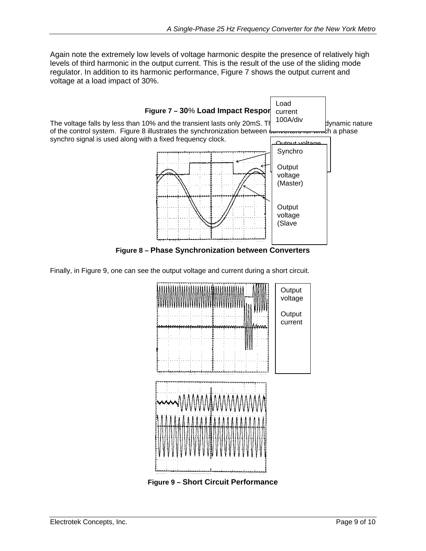<span id="page-8-0"></span>Again note the extremely low levels of voltage harmonic despite the presence of relatively high levels of third harmonic in the output current. This is the result of the use of the sliding mode regulator. In addition to its harmonic performance, Figure 7 shows the output current and voltage at a load impact of 30%.



Finally, in Figure 9, one can see the output voltage and current during a short circuit.

![](_page_8_Figure_4.jpeg)

**Figure 9 – Short Circuit Performance**